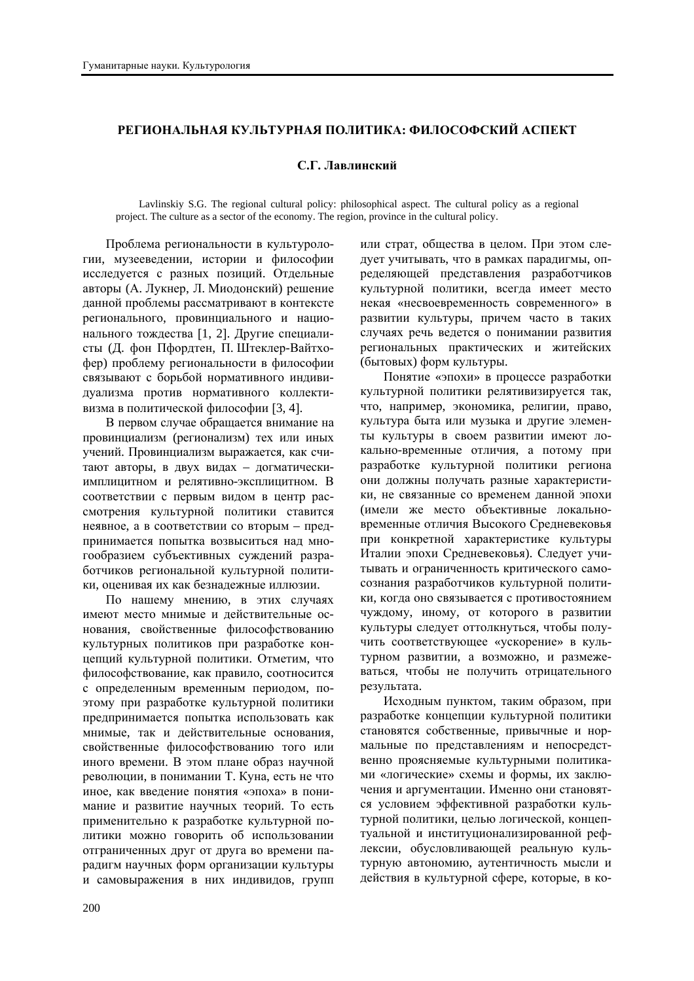## **ɊȿȽɂɈɇȺɅɖɇȺə ɄɍɅɖɌɍɊɇȺə ɉɈɅɂɌɂɄȺ: ɎɂɅɈɋɈɎɋɄɂɃ ȺɋɉȿɄɌ**

## $C$ . Г. Лавлинский

Lavlinskiy S.G. The regional cultural policy: philosophical aspect. The cultural policy as a regional project. The culture as a sector of the economy. The region, province in the cultural policy.

Проблема региональности в культурологии, музееведении, истории и философии исследуется с разных позиций. Отдельные авторы (А. Лукнер, Л. Миодонский) решение данной проблемы рассматривают в контексте регионального, провинциального и национального тождества [1, 2]. Другие специалисты (Д. фон Пфордтен, П. Штеклер-Вайтхофер) проблему региональности в философии связывают с борьбой нормативного индивидуализма против нормативного коллективизма в политической философии [3, 4].

В первом случае обращается внимание на провинциализм (регионализм) тех или иных учений. Провинциализм выражается, как считают авторы, в двух видах – догматическиимплицитном и релятивно-эксплицитном. В соответствии с первым видом в центр рассмотрения культурной политики ставится неявное, а в соответствии со вторым – предпринимается попытка возвыситься над многообразием субъективных суждений разработчиков региональной культурной политики, оценивая их как безналежные иллюзии.

По нашему мнению, в этих случаях имеют место мнимые и действительные основания, свойственные философствованию культурных политиков при разработке концепций культурной политики. Отметим, что философствование, как правило, соотносится с определенным временным периодом, поэтому при разработке культурной политики предпринимается попытка использовать как мнимые, так и действительные основания, свойственные философствованию того или иного времени. В этом плане образ научной революции, в понимании Т. Куна, есть не что иное, как введение понятия «эпоха» в понимание и развитие научных теорий. То есть применительно к разработке культурной политики можно говорить об использовании отграниченных друг от друга во времени парадигм научных форм организации культуры и самовыражения в них индивидов, групп

или страт, общества в целом. При этом следует учитывать, что в рамках парадигмы, определяющей представления разработчиков культурной политики, всегда имеет место некая «несвоевременность современного» в развитии культуры, причем часто в таких случаях речь ведется о понимании развития региональных практических и житейских (бытовых) форм культуры.

Понятие «эпохи» в процессе разработки культурной политики релятивизируется так, что, например, экономика, религии, право, культура быта или музыка и другие элементы культуры в своем развитии имеют локально-временные отличия, а потому при разработке культурной политики региона они должны получать разные характеристики, не связанные со временем данной эпохи (имели же место объективные локальновременные отличия Высокого Средневековья при конкретной характеристике культуры Италии эпохи Средневековья). Следует учитывать и ограниченность критического самосознания разработчиков культурной политики, когда оно связывается с противостоянием чуждому, иному, от которого в развитии культуры следует оттолкнуться, чтобы получить соответствующее «ускорение» в культурном развитии, а возможно, и размежеваться, чтобы не получить отрицательного результата.

Исходным пунктом, таким образом, при разработке концепции культурной политики становятся собственные, привычные и нормальные по представлениям и непосредственно проясняемые культурными политиками «логические» схемы и формы, их заключения и аргументации. Именно они становятся условием эффективной разработки культурной политики, целью логической, концептуальной и институционализированной рефлексии, обусловливающей реальную культурную автономию, аутентичность мысли и действия в культурной сфере, которые, в ко-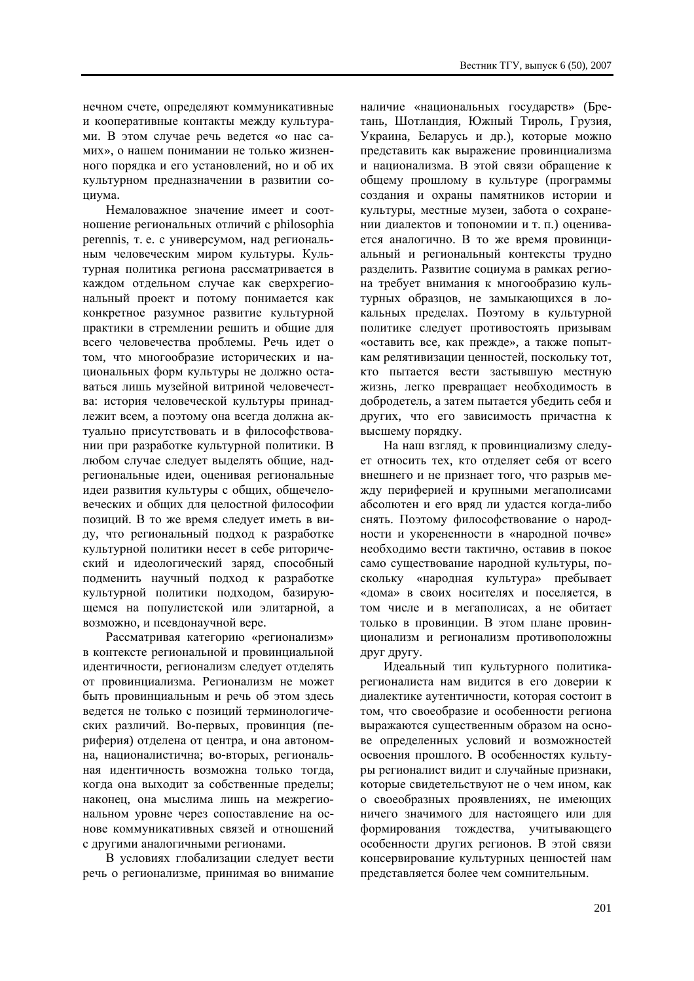нечном счете, определяют коммуникативные и кооперативные контакты между культурами. В этом случае речь ведется «о нас самих», о нашем понимании не только жизненного порядка и его установлений, но и об их культурном предназначении в развитии социума.

Немаловажное значение имеет и соотношение региональных отличий с philosophia perennis, т. е. с универсумом, над региональным человеческим миром культуры. Культурная политика региона рассматривается в каждом отдельном случае как сверхрегиональный проект и потому понимается как конкретное разумное развитие культурной практики в стремлении решить и общие для всего человечества проблемы. Речь идет о том, что многообразие исторических и национальных форм культуры не должно оставаться лишь музейной витриной человечества: история человеческой культуры принадлежит всем, а поэтому она всегда должна актуально присутствовать и в философствовании при разработке культурной политики. В любом случае следует выделять общие, надрегиональные идеи, оценивая региональные идеи развития культуры с общих, общечеловеческих и общих для нелостной философии позиций. В то же время следует иметь в виду, что региональный подход к разработке культурной политики несет в себе риторический и идеологический заряд, способный подменить научный подход к разработке культурной политики подходом, базирующемся на популистской или элитарной, а возможно, и псевдонаучной вере.

Рассматривая категорию «регионализм» в контексте региональной и провинциальной идентичности, регионализм следует отделять от провинциализма. Регионализм не может быть провинциальным и речь об этом здесь ведется не только с позиций терминологических различий. Во-первых, провинция (периферия) отделена от центра, и она автономна, националистична; во-вторых, региональная идентичность возможна только тогда, когда она выходит за собственные пределы; наконец, она мыслима лишь на межрегиональном уровне через сопоставление на основе коммуникативных связей и отношений с другими аналогичными регионами.

В условиях глобализации следует вести речь о регионализме, принимая во внимание наличие «национальных государств» (Бретань, Шотландия, Южный Тироль, Грузия, Украина, Беларусь и др.), которые можно представить как выражение провинциализма и национализма. В этой связи обращение к общему прошлому в культуре (программы создания и охраны памятников истории и культуры, местные музеи, забота о сохранении диалектов и топономии и т. п.) оценивается аналогично. В то же время провинциальный и региональный контексты трудно разделить. Развитие социума в рамках региона требует внимания к многообразию культурных образцов, не замыкающихся в локальных пределах. Поэтому в культурной политике следует противостоять призывам «оставить все, как прежде», а также попыткам релятивизации ценностей, поскольку тот, кто пытается вести застывшую местную жизнь, легко превращает необходимость в добродетель, а затем пытается убедить себя и других, что его зависимость причастна к высшему порядку.

На наш взгляд, к провинциализму следует относить тех, кто отделяет себя от всего внешнего и не признает того, что разрыв между периферией и крупными мегаполисами абсолютен и его вряд ли удастся когда-либо снять. Поэтому философствование о народности и укорененности в «народной почве» необходимо вести тактично, оставив в покое само существование народной культуры, поскольку «народная культура» пребывает «дома» в своих носителях и поселяется, в том числе и в мегаполисах, а не обитает только в провинции. В этом плане провинционализм и регионализм противоположны друг другу.

Идеальный тип культурного политикарегионалиста нам видится в его доверии к диалектике аутентичности, которая состоит в том, что своеобразие и особенности региона выражаются существенным образом на основе определенных условий и возможностей освоения прошлого. В особенностях культуры регионалист видит и случайные признаки, которые свидетельствуют не о чем ином, как о своеобразных проявлениях, не имеющих ничего значимого для настоящего или для формирования тождества, учитывающего особенности других регионов. В этой связи консервирование культурных ценностей нам представляется более чем сомнительным.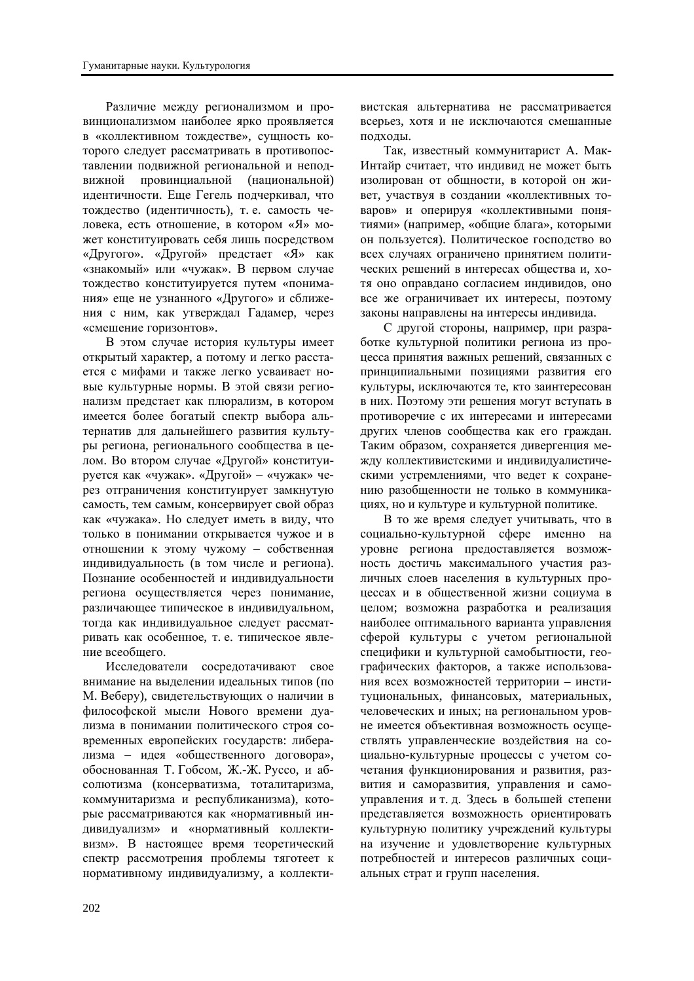Различие между регионализмом и провинционализмом наиболее ярко проявляется в «коллективном тождестве», сущность которого следует рассматривать в противопоставлении подвижной региональной и неподвижной провинциальной (национальной) идентичности. Еще Гегель подчеркивал, что тождество (идентичность), т. е. самость человека, есть отношение, в котором «Я» может конституировать себя лишь посредством «Другого». «Другой» предстает «Я» как «знакомый» или «чужак». В первом случае тождество конституируется путем «понимания» еще не узнанного «Другого» и сближения с ним, как утверждал Гадамер, через «смешение горизонтов».

В этом случае история культуры имеет открытый характер, а потому и легко расстается с мифами и также легко усваивает новые культурные нормы. В этой связи регионализм предстает как плюрализм, в котором имеется более богатый спектр выбора альтернатив для дальнейшего развития культуры региона, регионального сообщества в целом. Во втором случае «Другой» конституируется как «чужак». «Другой» - «чужак» через отграничения конституирует замкнутую самость, тем самым, консервирует свой образ как «чужака». Но следует иметь в виду, что только в понимании открывается чужое и в отношении к этому чужому – собственная индивидуальность (в том числе и региона). Познание особенностей и индивидуальности региона осуществляется через понимание, различающее типическое в индивидуальном, тогла как индивидуальное следует рассматривать как особенное, т. е. типическое явление всеобщего

Исследователи сосредотачивают свое внимание на выделении идеальных типов (по М. Веберу), свидетельствующих о наличии в философской мысли Нового времени дуализма в понимании политического строя современных европейских государств: либерализма – идея «общественного договора», обоснованная Т. Гобсом, Ж.-Ж. Руссо, и абсолютизма (консерватизма, тоталитаризма, коммунитаризма и республиканизма), которые рассматриваются как «нормативный индивидуализм» и «нормативный коллективизм». В настоящее время теоретический спектр рассмотрения проблемы тяготеет к нормативному индивидуализму, а коллекти-

вистская альтернатива не рассматривается всерьез, хотя и не исключаются смешанные полхолы.

Так, известный коммунитарист А. Мак-Интайр считает, что индивид не может быть изолирован от общности, в которой он живет, участвуя в создании «коллективных товаров» и оперируя «коллективными понятиями» (например, «общие блага», которыми он пользуется). Политическое госполство во всех случаях ограничено принятием политических решений в интересах общества и, хотя оно оправдано согласием индивидов, оно все же ограничивает их интересы, поэтому законы направлены на интересы индивида.

С другой стороны, например, при разработке культурной политики региона из процесса принятия важных решений, связанных с принципиальными позициями развития его культуры, исключаются те, кто заинтересован в них. Поэтому эти решения могут вступать в противоречие с их интересами и интересами других членов сообщества как его граждан. Таким образом, сохраняется дивергенция между коллективистскими и индивидуалистическими устремлениями, что ведет к сохранению разобщенности не только в коммуникащиях, но и культуре и культурной политике.

В то же время следует учитывать, что в социально-культурной сфере именно на уровне региона предоставляется возможность достичь максимального участия различных слоев населения в культурных процессах и в общественной жизни социума в целом; возможна разработка и реализация наиболее оптимального варианта управления сферой культуры с учетом региональной специфики и культурной самобытности, географических факторов, а также использования всех возможностей территории – институциональных, финансовых, материальных, человеческих и иных; на региональном уровне имеется объективная возможность осуществлять управленческие воздействия на социально-культурные процессы с учетом сочетания функционирования и развития, развития и саморазвития, управления и самоуправления и т. д. Здесь в большей степени представляется возможность ориентировать культурную политику учреждений культуры на изучение и уловлетворение культурных потребностей и интересов различных социальных страт и групп населения.